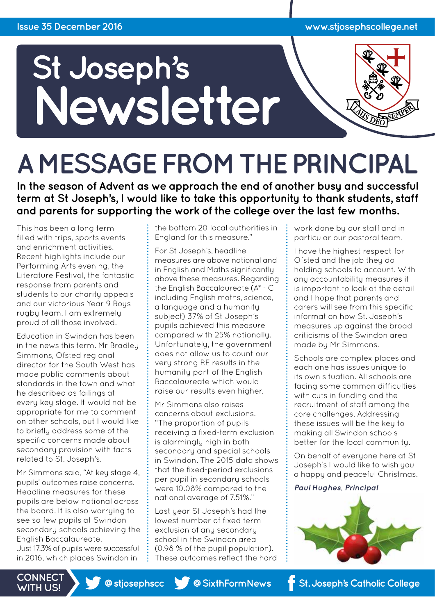

# **A MESSAGE FROM THE PRINCIPAL**

**In the season of Advent as we approach the end of another busy and successful term at St Joseph's, I would like to take this opportunity to thank students, staff and parents for supporting the work of the college over the last few months.** 

This has been a long term filled with trips, sports events and enrichment activities. Recent highlights include our Performing Arts evening, the Literature Festival, the fantastic response from parents and students to our charity appeals and our victorious Year 9 Boys rugby team. I am extremely proud of all those involved.

Education in Swindon has been in the news this term. Mr Bradley Simmons, Ofsted regional director for the South West has made public comments about standards in the town and what he described as failings at every key stage. It would not be appropriate for me to comment on other schools, but I would like to briefly address some of the specific concerns made about secondary provision with facts related to St. Joseph's.

Mr Simmons said, "At key stage 4, pupils' outcomes raise concerns. Headline measures for these pupils are below national across the board. It is also worrying to see so few pupils at Swindon secondary schools achieving the English Baccalaureate. Just 17.3% of pupils were successful

in 2016, which places Swindon in

the bottom 20 local authorities in England for this measure."

For St Joseph's, headline measures are above national and in English and Maths significantly above these measures. Regarding the English Baccalaureate (A\* - C including English maths, science, a language and a humanity subject) 37% of St Joseph's pupils achieved this measure compared with 25% nationally. Unfortunately, the government does not allow us to count our very strong RE results in the humanity part of the English Baccalaureate which would raise our results even higher.

Mr Simmons also raises concerns about exclusions. "The proportion of pupils receiving a fixed-term exclusion is alarmingly high in both secondary and special schools in Swindon. The 2015 data shows that the fixed-period exclusions per pupil in secondary schools were 10.08% compared to the national average of 7.51%."

Last year St Joseph's had the lowest number of fixed term exclusion of any secondary school in the Swindon area (0.98 % of the pupil population). These outcomes reflect the hard work done by our staff and in particular our pastoral team.

I have the highest respect for Ofsted and the job they do holding schools to account. With any accountability measures it is important to look at the detail and I hope that parents and carers will see from this specific information how St. Joseph's measures up against the broad criticisms of the Swindon area made by Mr Simmons.

Schools are complex places and each one has issues unique to its own situation. All schools are facing some common difficulties with cuts in funding and the recruitment of staff among the core challenges. Addressing these issues will be the key to making all Swindon schools better for the local community.

On behalf of everyone here at St Joseph's I would like to wish you a happy and peaceful Christmas.

*Paul Hughes, Principal* 



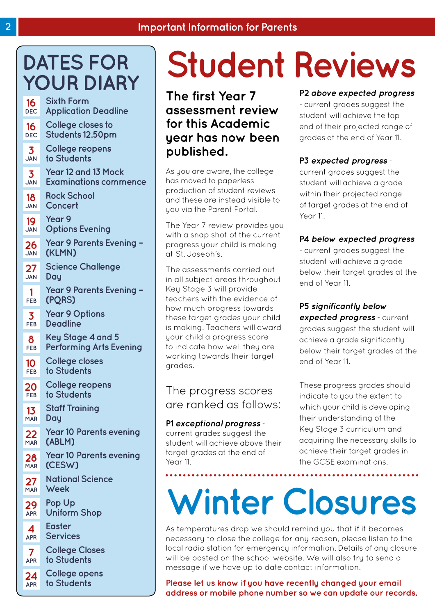### **DATES FOR YOUR DIARY**

| 16         | <b>Sixth Form</b>              |
|------------|--------------------------------|
| <b>DEC</b> | <b>Application Deadline</b>    |
| 16         | College closes to              |
| <b>DEC</b> | <b>Students 12.50pm</b>        |
| 3          | College reopens                |
| <b>JAN</b> | to Students                    |
| 3          | Year 12 and 13 Mock            |
| <b>JAN</b> | <b>Examinations commence</b>   |
| 18         | <b>Rock School</b>             |
| <b>JAN</b> | Concert                        |
| 19         | <b>Year 9</b>                  |
| <b>JAN</b> | <b>Options Evening</b>         |
| 26         | <b>Year 9 Parents Evening</b>  |
| <b>JAN</b> | (KLMN)                         |
| 27         | Science Challenge              |
| <b>JAN</b> | Day                            |
| 1          | <b>Year 9 Parents Evening</b>  |
| FEB        | (PQRS)                         |
| 3          | <b>Year 9 Options</b>          |
| FEB        | <b>Deadline</b>                |
| 8          | Key Stage 4 and 5              |
| FEB        | <b>Performing Arts Evening</b> |
| 10         | College closes                 |
| <b>FEB</b> | to Students                    |
| 20         | College reopens                |
| <b>FEB</b> | to Students                    |
| 13         | <b>Staff Training</b>          |
| <b>MAR</b> | Day                            |
| 22         | <b>Year 10 Parents evening</b> |
| <b>MAR</b> | (ABLM)                         |
| 28         | <b>Year 10 Parents evening</b> |
| <b>MAR</b> | (CESW)                         |
| 27         | <b>National Science</b>        |
| <b>MAR</b> | Week                           |
| 29         | Pop Up                         |
| <b>APR</b> | <b>Uniform Shop</b>            |
| 4          | Easter                         |
| <b>APR</b> | <b>Services</b>                |
| 7          | <b>College Closes</b>          |
| <b>APR</b> | to Students                    |
| 24         | College opens                  |
| <b>APR</b> | to Students                    |

# **Student Reviews**

**The first Year 7 assessment review for this Academic year has now been published.** 

As you are aware, the college has moved to paperless production of student reviews and these are instead visible to you via the Parent Portal.

The Year 7 review provides you with a snap shot of the current progress your child is making at St. Joseph's.

The assessments carried out in all subject areas throughout Key Stage 3 will provide teachers with the evidence of how much progress towards these target grades your child is making. Teachers will award your child a progress score to indicate how well they are working towards their target grades.

The progress scores are ranked as follows:

**P1** *exceptional progress* current grades suggest the student will achieve above their target grades at the end of Year 11.

#### **P2** *above expected progress*

- current grades suggest the student will achieve the top end of their projected range of grades at the end of Year 11.

#### **P3** *expected progress* -

current grades suggest the student will achieve a grade within their projected range of target grades at the end of Year 11

#### **P4** *below expected progress*

- current grades suggest the student will achieve a grade below their target grades at the end of Year 11.

**P5** *significantly below* 

*expected progress* - current grades suggest the student will achieve a grade significantly below their target grades at the end of Year 11.

These progress grades should indicate to you the extent to which your child is developing their understanding of the Key Stage 3 curriculum and acquiring the necessary skills to achieve their target grades in the GCSE examinations.

# **Winter Closures**

As temperatures drop we should remind you that if it becomes necessary to close the college for any reason, please listen to the local radio station for emergency information. Details of any closure will be posted on the school website. We will also try to send a message if we have up to date contact information.

**Please let us know if you have recently changed your email address or mobile phone number so we can update our records.**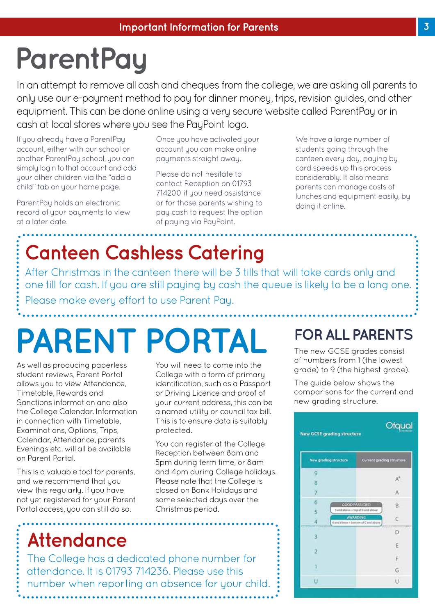# **ParentPay**

In an attempt to remove all cash and cheques from the college, we are asking all parents to only use our e-payment method to pay for dinner money, trips, revision guides, and other equipment. This can be done online using a very secure website called ParentPay or in cash at local stores where you see the PayPoint logo.

If you already have a ParentPay account, either with our school or another ParentPay school, you can simply login to that account and add your other children via the "add a child" tab on your home page.

ParentPay holds an electronic record of your payments to view at a later date.

Once you have activated your account you can make online payments straight away.

Please do not hesitate to contact Reception on 01793 714200 if you need assistance or for those parents wishing to pay cash to request the option of paying via PayPoint.

We have a large number of students going through the canteen every day, paying by card speeds up this process considerably. It also means parents can manage costs of lunches and equipment easily, by doing it online.

# **Canteen Cashless Catering**

After Christmas in the canteen there will be 3 tills that will take cards only and one till for cash. If you are still paying by cash the queue is likely to be a long one. Please make every effort to use Parent Pay.

# **PARENT PORTAL FOR ALL PARENTS**

As well as producing paperless student reviews, Parent Portal allows you to view Attendance. Timetable, Rewards and Sanctions information and also the College Calendar. Information in connection with Timetable, Examinations, Options, Trips, Calendar, Attendance, parents Evenings etc. will all be available on Parent Portal.

This is a valuable tool for parents, and we recommend that you view this regularly. If you have not yet registered for your Parent Portal access, you can still do so.

You will need to come into the College with a form of primary identification, such as a Passport or Driving Licence and proof of your current address, this can be a named utility or council tax bill. This is to ensure data is suitably protected.

You can register at the College Reception between 8am and 5pm during term time, or 8am and 4pm during College holidays. Please note that the College is closed on Bank Holidays and some selected days over the Christmas period.

### **Attendance**

The College has a dedicated phone number for attendance. It is 01793 714236. Please use this number when reporting an absence for your child.

The new GCSE grades consist of numbers from 1 (the lowest grade) to 9 (the highest grade).

The guide below shows the comparisons for the current and new grading structure.

#### Ofqual **New GCSE grading structure** New grading structure Current grading structure  $\overline{9}$ A"  $\overline{8}$  $\overline{7}$ Ä 6 GOOD PASS (DEL) B š AWARDING  $\epsilon$ ä m of Card ab Ð 3 F ö F đ G  $\bar{u}$ U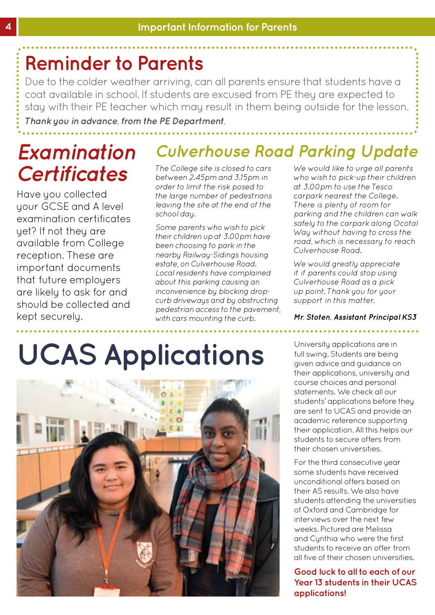### **Reminder to Parents**

Due to the colder weather arriving, can all parents ensure that students have a coat available in school. If students are excused from PE they are expected to stay with their PE teacher which may result in them being outside for the lesson.

*Thank you in advance, from the PE Department.*

### *Examination Certificates*

Have you collected your GCSE and A level examination certificates yet? If not they are available from College reception. These are important documents that future employers are likely to ask for and should be collected and kept securely.

### *Culverhouse Road Parking Update*

*The College site is closed to cars between 2.45pm and 3.15pm in order to limit the risk posed to the large number of pedestrians leaving the site at the end of the school day.* 

*Some parents who wish to pick their children up at 3.00pm have been choosing to park in the nearby Railway-Sidings housing estate, on Culverhouse Road. Local residents have complained about this parking causing an inconvenience by blocking dropcurb driveways and by obstructing pedestrian access to the pavement, with cars mounting the curb.* 

*We would like to urge all parents who wish to pick-up their children at 3.00pm to use the Tesco carpark nearest the College. There is plenty of room for parking and the children can walk safely to the carpark along Ocotal Way without having to cross the road, which is necessary to reach Culverhouse Road.* 

*We would greatly appreciate it if parents could stop using Culverhouse Road as a pick up point. Thank you for your support in this matter.*

*Mr. Stoten, Assistant Principal KS3*

# **UCAS Applications**



University applications are in full swing. Students are being given advice and guidance on their applications, university and course choices and personal statements. We check all our students' applications before they are sent to UCAS and provide an academic reference supporting their application. All this helps our students to secure offers from their chosen universities.

For the third consecutive year some students have received unconditional offers based on their AS results. We also have students attending the universities of Oxford and Cambridge for interviews over the next few weeks. Pictured are Melissa and Cynthia who were the first students to receive an offer from all five of their chosen universities.

**Good luck to all to each of our Year 13 students in their UCAS applications!**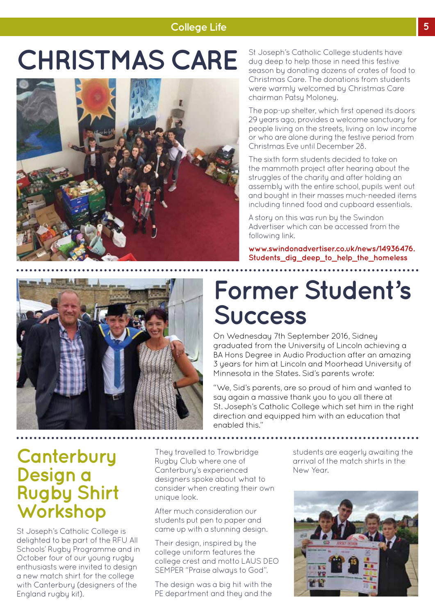# **CHRISTMAS CARE**



St Joseph's Catholic College students have dug deep to help those in need this festive season by donating dozens of crates of food to Christmas Care. The donations from students were warmly welcomed by Christmas Care chairman Patsy Moloney.

The pop-up shelter, which first opened its doors 29 years ago, provides a welcome sanctuary for people living on the streets, living on low income or who are alone during the festive period from Christmas Eve until December 28.

The sixth form students decided to take on the mammoth project after hearing about the struggles of the charity and after holding an assembly with the entire school, pupils went out and bought in their masses much-needed items including tinned food and cupboard essentials.

A story on this was run by the Swindon Advertiser which can be accessed from the following link.

**www.swindonadvertiser.co.uk/news/14936476. Students\_dig\_deep\_to\_help\_the\_homeless**



### **Former Student's Success**

On Wednesday 7th September 2016, Sidney graduated from the University of Lincoln achieving a BA Hons Degree in Audio Production after an amazing 3 years for him at Lincoln and Moorhead University of Minnesota in the States. Sid's parents wrote:

"We, Sid's parents, are so proud of him and wanted to say again a massive thank you to you all there at St. Joseph's Catholic College which set him in the right direction and equipped him with an education that enabled this."

### **Canterbury Design a Rugby Shirt Workshop**

St Joseph's Catholic College is delighted to be part of the RFU All Schools' Rugby Programme and in October four of our young rugby enthusiasts were invited to design a new match shirt for the college with Canterbury (designers of the England rugby kit).

They travelled to Trowbridge Rugby Club where one of Canterbury's experienced designers spoke about what to consider when creating their own unique look.

After much consideration our students put pen to paper and came up with a stunning design.

Their design, inspired by the college uniform features the college crest and motto LAUS DEO SEMPER "Praise always to God".

The design was a big hit with the PE department and they and the students are eagerly awaiting the arrival of the match shirts in the New Year.

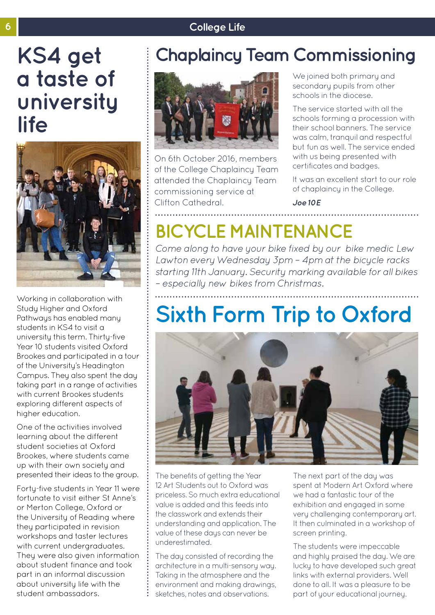### **KS4 get a taste of university life**



Working in collaboration with Study Higher and Oxford Pathways has enabled many students in KS4 to visit a university this term. Thirty-five Year 10 students visited Oxford Brookes and participated in a tour of the University's Headington Campus. They also spent the day taking part in a range of activities with current Brookes students exploring different aspects of higher education.

One of the activities involved learning about the different student societies at Oxford Brookes, where students came up with their own society and presented their ideas to the group.

Forty-five students in Year 11 were fortunate to visit either St Anne's or Merton College, Oxford or the University of Reading where they participated in revision workshops and taster lectures with current undergraduates. They were also given information about student finance and took part in an informal discussion about university life with the student ambassadors.

### **Chaplaincy Team Commissioning**



On 6th October 2016, members of the College Chaplaincy Team attended the Chaplaincy Team commissioning service at Clifton Cathedral.

We joined both primary and secondary pupils from other schools in the diocese.

The service started with all the schools forming a procession with their school banners. The service was calm, tranquil and respectful but fun as well. The service ended with us being presented with certificates and badges.

It was an excellent start to our role of chaplaincy in the College.

*Joe 10E*

### **BICYCLE MAINTENANCE**

*Come along to have your bike fixed by our bike medic Lew Lawton every Wednesday 3pm – 4pm at the bicycle racks starting 11th January. Security marking available for all bikes – especially new bikes from Christmas.*

# **Sixth Form Trip to Oxford**



The benefits of getting the Year 12 Art Students out to Oxford was priceless. So much extra educational value is added and this feeds into the classwork and extends their understanding and application. The value of these days can never be underestimated.

The day consisted of recording the architecture in a multi-sensory way. Taking in the atmosphere and the environment and making drawings, sketches, notes and observations.

The next part of the day was spent at Modern Art Oxford where we had a fantastic tour of the exhibition and engaged in some very challenging contemporary art. It then culminated in a workshop of screen printing.

The students were impeccable and highly praised the day. We are lucky to have developed such great links with external providers. Well done to all. It was a pleasure to be part of your educational journey.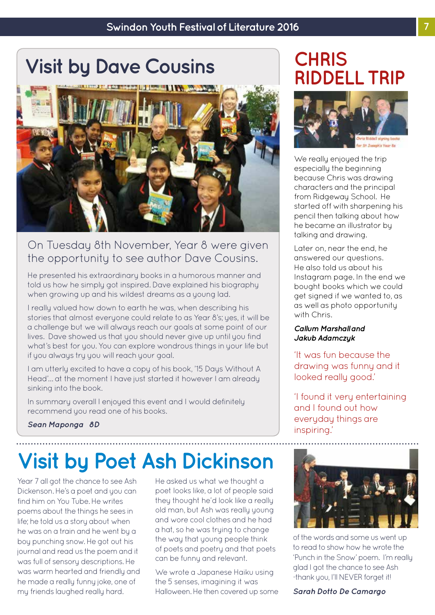# **Visit by Dave Cousins CHRIS**



### On Tuesday 8th November, Year 8 were given the opportunity to see author Dave Cousins.

He presented his extraordinary books in a humorous manner and told us how he simply got inspired. Dave explained his biography when growing up and his wildest dreams as a young lad.

I really valued how down to earth he was, when describing his stories that almost everyone could relate to as Year 8's; yes, it will be a challenge but we will always reach our goals at some point of our lives. Dave showed us that you should never give up until you find what's best for you. You can explore wondrous things in your life but if you always try you will reach your goal.

I am utterly excited to have a copy of his book, '15 Days Without A Head'… at the moment I have just started it however I am already sinking into the book.

In summary overall I enjoyed this event and I would definitely recommend you read one of his books.

# **RIDDELL TRIP**



We really enjoyed the trip especially the beginning because Chris was drawing characters and the principal from Ridgeway School. He started off with sharpening his pencil then talking about how he became an illustrator by talking and drawing.

Later on, near the end, he answered our questions. He also told us about his Instagram page. In the end we bought books which we could get signed if we wanted to, as as well as photo opportunity with Chris.

#### *Callum Marshall and Jakub Adamczyk*

'It was fun because the drawing was funny and it looked really good.'

'I found it very entertaining and I found out how everyday things are inspiring.'

#### *Sean Maponga 8D*

# **Visit by Poet Ash Dickinson**

Year 7 all got the chance to see Ash Dickenson. He's a poet and you can find him on You Tube. He writes poems about the things he sees in life; he told us a story about when he was on a train and he went by a boy punching snow. He got out his journal and read us the poem and it was full of sensory descriptions. He was warm hearted and friendly and he made a really funny joke, one of my friends laughed really hard.

He asked us what we thought a poet looks like, a lot of people said they thought he'd look like a really old man, but Ash was really young and wore cool clothes and he had a hat, so he was trying to change the way that young people think of poets and poetry and that poets can be funny and relevant.

We wrote a Japanese Haiku using the 5 senses, imagining it was Halloween. He then covered up some



of the words and some us went up to read to show how he wrote the 'Punch in the Snow' poem. I'm really glad I got the chance to see Ash -thank you, I'll NEVER forget it!

*Sarah Dotto De Camargo*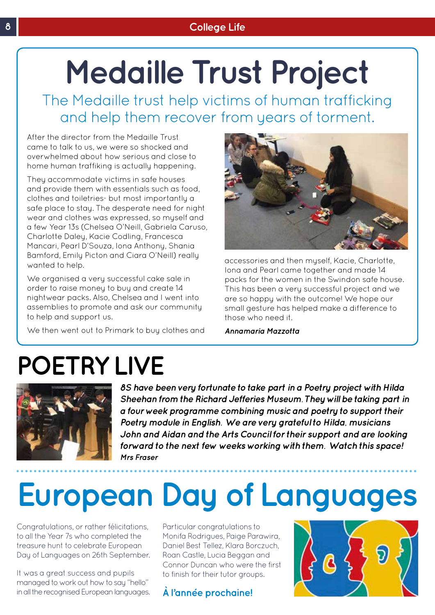# **Medaille Trust Project**

The Medaille trust help victims of human trafficking and help them recover from years of torment.

After the director from the Medaille Trust came to talk to us, we were so shocked and overwhelmed about how serious and close to home human traffiking is actually happening.

They accommodate victims in safe houses and provide them with essentials such as food, clothes and toiletries- but most importantly a safe place to stay. The desperate need for night wear and clothes was expressed, so myself and a few Year 13s (Chelsea O'Neill, Gabriela Caruso, Charlotte Daley, Kacie Codling, Francesca Mancari, Pearl D'Souza, Iona Anthony, Shania Bamford, Emily Picton and Ciara O'Neill) really wanted to help.

We organised a very successful cake sale in order to raise money to buy and create 14 nightwear packs. Also, Chelsea and I went into assemblies to promote and ask our community to help and support us.

We then went out to Primark to buy clothes and



accessories and then myself, Kacie, Charlotte, Iona and Pearl came together and made 14 packs for the women in the Swindon safe house. This has been a very successful project and we are so happy with the outcome! We hope our small gesture has helped make a difference to those who need it.

*Annamaria Mazzotta*

# **POETRY LIVE**



*8S have been very fortunate to take part in a Poetry project with Hilda Sheehan from the Richard Jefferies Museum. They will be taking part in a four week programme combining music and poetry to support their Poetry module in English. We are very grateful to Hilda, musicians John and Aidan and the Arts Council for their support and are looking forward to the next few weeks working with them. Watch this space! Mrs Fraser*

# **European Day of Languages**

Congratulations, or rather félicitations, to all the Year 7s who completed the treasure hunt to celebrate European Day of Languages on 26th September.

It was a great success and pupils managed to work out how to say "hello" in all the recognised European languages. Particular congratulations to Monifa Rodrigues, Paige Parawira, Daniel Best Tellez, Klara Borczuch, Roan Castle, Lucia Beggan and Connor Duncan who were the first to finish for their tutor groups.

### **À l'année prochaine!**

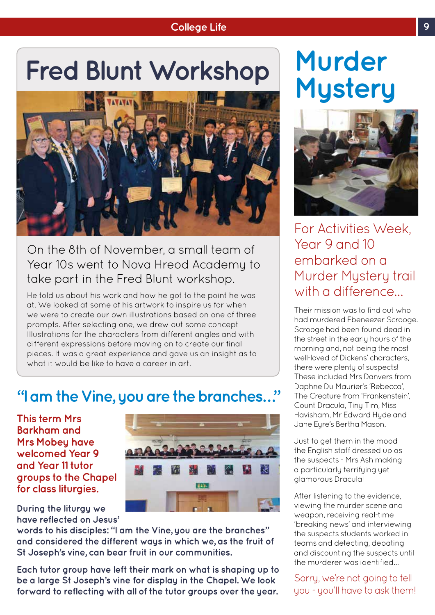# **Fred Blunt Workshop Murder**



### On the 8th of November, a small team of Year 10s went to Nova Hreod Academy to take part in the Fred Blunt workshop.

He told us about his work and how he got to the point he was at. We looked at some of his artwork to inspire us for when we were to create our own illustrations based on one of three prompts. After selecting one, we drew out some concept Illustrations for the characters from different angles and with different expressions before moving on to create our final pieces. It was a great experience and gave us an insight as to what it would be like to have a career in art.

### **"I am the Vine, you are the branches…"**

**This term Mrs Barkham and Mrs Mobey have welcomed Year 9 and Year 11 tutor groups to the Chapel for class liturgies.** 

**During the liturgy we have reflected on Jesus'** 



**words to his disciples: "I am the Vine, you are the branches" and considered the different ways in which we, as the fruit of St Joseph's vine, can bear fruit in our communities.** 

**Each tutor group have left their mark on what is shaping up to be a large St Joseph's vine for display in the Chapel. We look forward to reflecting with all of the tutor groups over the year.**

# **Mystery**



For Activities Week, Year 9 and 10 embarked on a Murder Mystery trail with a difference…

Their mission was to find out who had murdered Ebeneezer Scrooge. Scrooge had been found dead in the street in the early hours of the morning and, not being the most well-loved of Dickens' characters, there were plenty of suspects! These included Mrs Danvers from Daphne Du Maurier's 'Rebecca', The Creature from 'Frankenstein', Count Dracula, Tiny Tim, Miss Havisham, Mr Edward Hyde and Jane Eyre's Bertha Mason.

Just to get them in the mood the English staff dressed up as the suspects - Mrs Ash making a particularly terrifying yet glamorous Dracula!

After listening to the evidence, viewing the murder scene and weapon, receiving real-time 'breaking news' and interviewing the suspects students worked in teams and detecting, debating and discounting the suspects until the murderer was identified…

Sorry, we're not going to tell you - you'll have to ask them!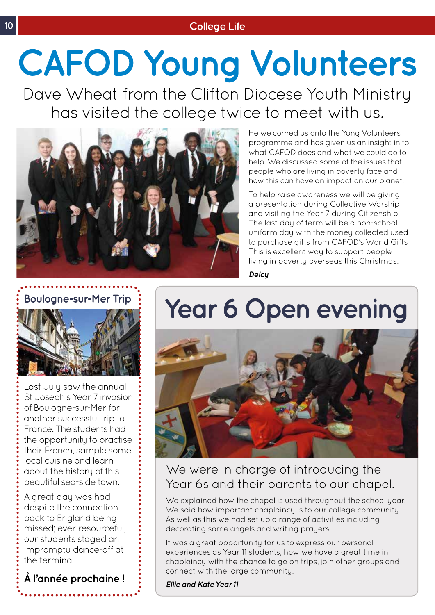# **CAFOD Young Volunteers**

Dave Wheat from the Clifton Diocese Youth Ministry has visited the college twice to meet with us.



He welcomed us onto the Yong Volunteers programme and has given us an insight in to what CAFOD does and what we could do to help. We discussed some of the issues that people who are living in poverty face and how this can have an impact on our planet.

To help raise awareness we will be giving a presentation during Collective Worship and visiting the Year 7 during Citizenship. The last day of term will be a non-school uniform day with the money collected used to purchase gifts from CAFOD's World Gifts This is excellent way to support people living in poverty overseas this Christmas.

*Delcy*



Last July saw the annual St Joseph's Year 7 invasion of Boulogne-sur-Mer for another successful trip to France. The students had the opportunity to practise their French, sample some local cuisine and learn about the history of this beautiful sea-side town.

A great day was had despite the connection back to England being missed; ever resourceful, our students staged an impromptu dance-off at the terminal.

**À l'année prochaine !**

# **Boulogne-sur-Mer Trip**  $\vdots$  Year 6 Open evening



### We were in charge of introducing the Year 6s and their parents to our chapel.

We explained how the chapel is used throughout the school year. We said how important chaplaincy is to our college community. As well as this we had set up a range of activities including decorating some angels and writing prayers.

It was a great opportunity for us to express our personal experiences as Year 11 students, how we have a great time in chaplaincy with the chance to go on trips, join other groups and connect with the large community.

*Ellie and Kate Year 11*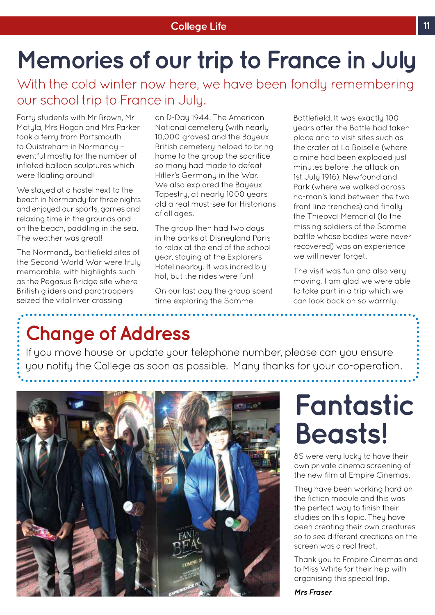# **Memories of our trip to France in July**

With the cold winter now here, we have been fondly remembering our school trip to France in July.

Forty students with Mr Brown, Mr Matyla, Mrs Hogan and Mrs Parker took a ferry from Portsmouth to Ouistreham in Normandy – eventful mostly for the number of inflated balloon sculptures which were floating around!

We stayed at a hostel next to the beach in Normandy for three nights and enjoyed our sports, games and relaxing time in the grounds and on the beach, paddling in the sea. The weather was great!

The Normandy battlefield sites of the Second World War were truly memorable, with highlights such as the Pegasus Bridge site where British gliders and paratroopers seized the vital river crossing

on D-Day 1944. The American National cemetery (with nearly 10,000 graves) and the Bayeux British cemetery helped to bring home to the group the sacrifice so many had made to defeat Hitler's Germany in the War. We also explored the Bayeux Tapestry, at nearly 1000 years old a real must-see for Historians of all ages.

The group then had two days in the parks at Disneyland Paris to relax at the end of the school year, staying at the Explorers Hotel nearby. It was incredibly hot, but the rides were fun!

On our last day the group spent time exploring the Somme

Battlefield. It was exactly 100 years after the Battle had taken place and to visit sites such as the crater at La Boiselle (where a mine had been exploded just minutes before the attack on 1st July 1916), Newfoundland Park (where we walked across no-man's land between the two front line trenches) and finally the Thiepval Memorial (to the missing soldiers of the Somme battle whose bodies were never recovered) was an experience we will never forget.

The visit was fun and also very moving. I am glad we were able to take part in a trip which we can look back on so warmly.

### **Change of Address**

If you move house or update your telephone number, please can you ensure you notify the College as soon as possible. Many thanks for your co-operation.



# **Fantastic Beasts!**

8S were very lucky to have their own private cinema screening of the new film at Empire Cinemas.

They have been working hard on the fiction module and this was the perfect way to finish their studies on this topic. They have been creating their own creatures so to see different creations on the screen was a real treat.

Thank you to Empire Cinemas and to Miss White for their help with organising this special trip.

*Mrs Fraser*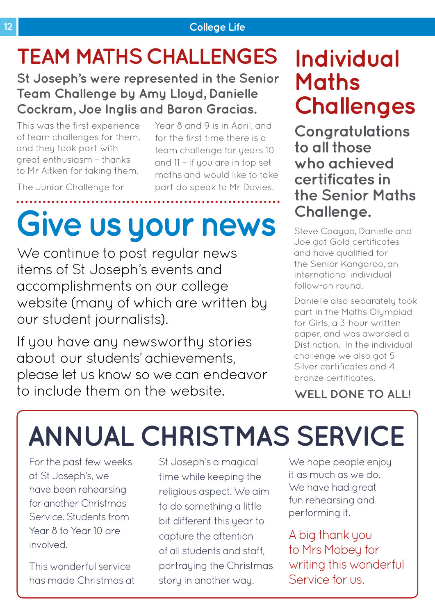# **TEAM MATHS CHALLENGES**

### **St Joseph's were represented in the Senior Team Challenge by Amy Lloyd, Danielle Cockram, Joe Inglis and Baron Gracias.**

This was the first experience of team challenges for them, and they took part with great enthusiasm – thanks to Mr Aitken for taking them.

Year 8 and 9 is in April, and for the first time there is a team challenge for years 10 and 11 – if you are in top set maths and would like to take part do speak to Mr Davies.

The Junior Challenge for

# **Give us your news**

We continue to post regular news items of St Joseph's events and accomplishments on our college website (many of which are written by our student journalists).

If you have any newsworthy stories about our students' achievements, please let us know so we can endeavor to include them on the website.

### **Individual Maths Challenges**

**Congratulations to all those who achieved certificates in the Senior Maths Challenge.** 

Steve Caayao, Danielle and Joe got Gold certificates and have qualified for the Senior Kangaroo, an international individual follow-on round.

Danielle also separately took part in the Maths Olympiad for Girls, a 3-hour written paper, and was awarded a Distinction. In the individual challenge we also got 5 Silver certificates and 4 bronze certificates.

**WELL DONE TO ALL!**

# **ANNUAL CHRISTMAS SERVICE**

For the past few weeks at St Joseph's, we have been rehearsing for another Christmas Service. Students from Year 8 to Year 10 are involved.

This wonderful service has made Christmas at

St Joseph's a magical time while keeping the religious aspect. We aim to do something a little bit different this year to capture the attention of all students and staff, portraying the Christmas story in another way.

We hope people enjoy it as much as we do. We have had great fun rehearsing and performing it.

A big thank you to Mrs Mobey for writing this wonderful Service for us.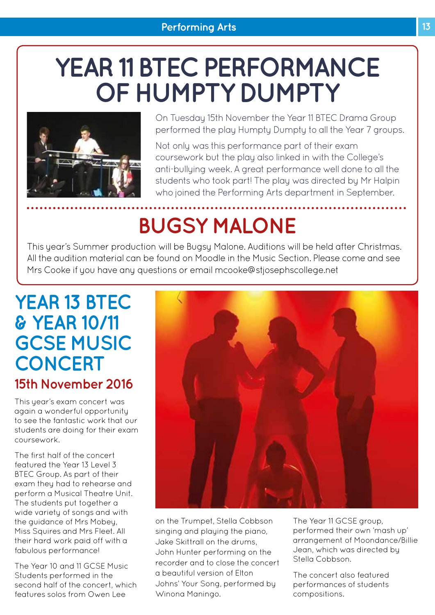# **YEAR 11 BTEC PERFORMANCE OF HUMPTY DUMPTY**



On Tuesday 15th November the Year 11 BTEC Drama Group performed the play Humpty Dumpty to all the Year 7 groups.

Not only was this performance part of their exam coursework but the play also linked in with the College's anti-bullying week. A great performance well done to all the students who took part! The play was directed by Mr Halpin who joined the Performing Arts department in September.

# **BUGSY MALONE**

This year's Summer production will be Bugsy Malone. Auditions will be held after Christmas. All the audition material can be found on Moodle in the Music Section. Please come and see Mrs Cooke if you have any questions or email mcooke@stjosephscollege.net

### **YEAR 13 BTEC & YEAR 10/11 GCSE MUSIC CONCERT 15th November 2016**

This year's exam concert was again a wonderful opportunity to see the fantastic work that our students are doing for their exam coursework.

The first half of the concert featured the Year 13 Level 3 BTEC Group. As part of their exam they had to rehearse and perform a Musical Theatre Unit. The students put together a wide variety of songs and with the guidance of Mrs Mobey, Miss Squires and Mrs Fleet. All their hard work paid off with a fabulous performance!

The Year 10 and 11 GCSE Music Students performed in the second half of the concert, which features solos from Owen Lee



on the Trumpet, Stella Cobbson singing and playing the piano, Jake Skittrall on the drums, John Hunter performing on the recorder and to close the concert a beautiful version of Elton Johns' Your Song, performed by Winona Maningo.

The Year 11 GCSE group, performed their own 'mash up' arrangement of Moondance/Billie Jean, which was directed by Stella Cobbson.

The concert also featured performances of students compositions.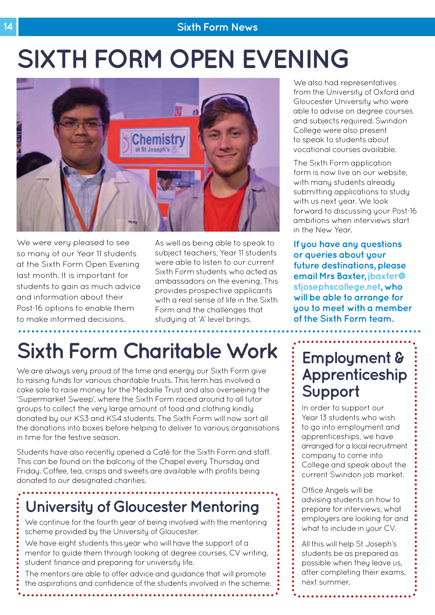#### **14 Sixth Form News**

# **SIXTH FORM OPEN EVENING**



We were very pleased to see so many of our Year 11 students at the Sixth Form Open Evening last month. It is important for students to gain as much advice and information about their Post-16 options to enable them to make informed decisions.

As well as being able to speak to subject teachers, Year 11 students were able to listen to our current Sixth Form students who acted as ambassadors on the evening. This provides prospective applicants with a real sense of life in the Sixth Form and the challenges that studying at 'A' level brings.

# **Sixth Form Charitable Work**

We are always very proud of the time and energy our Sixth Form give to raising funds for various charitable trusts. This term has involved a cake sale to raise money for the Medaille Trust and also overseeing the 'Supermarket Sweep', where the Sixth Form raced around to all tutor groups to collect the very large amount of food and clothing kindly donated by our KS3 and KS4 students. The Sixth Form will now sort all the donations into boxes before helping to deliver to various organisations in time for the festive season.

Students have also recently opened a Café for the Sixth Form and staff. This can be found on the balcony of the Chapel every Thursday and Friday. Coffee, tea, crisps and sweets are available with profits being donated to our designated charities.

### **University of Gloucester Mentoring**

We continue for the fourth year of being involved with the mentoring scheme provided by the University of Gloucester.

We have eight students this year who will have the support of a mentor to guide them through looking at degree courses, CV writing, student finance and preparing for university life.

The mentors are able to offer advice and guidance that will promote the aspirations and confidence of the students involved in the scheme.

. . . . . . . . . .

We also had representatives from the University of Oxford and Gloucester University who were able to advise on degree courses and subjects required. Swindon College were also present to speak to students about vocational courses available.

The Sixth Form application form is now live on our website, with many students already submitting applications to study with us next year. We look forward to discussing your Post-16 ambitions when interviews start in the New Year.

**If you have any questions or queries about your future destinations, please email Mrs Baxter, jbaxter@ stjosephscollege.net, who will be able to arrange for you to meet with a member of the Sixth Form team.**

### **Employment & Apprenticeship Support**

In order to support our Year 13 students who wish to go into employment and apprenticeships, we have arranged for a local recruitment company to come into College and speak about the current Swindon job market.

Office Angels will be advising students on how to prepare for interviews, what employers are looking for and what to include in your CV.

All this will help St Joseph's students be as prepared as possible when they leave us, after completing their exams, next summer.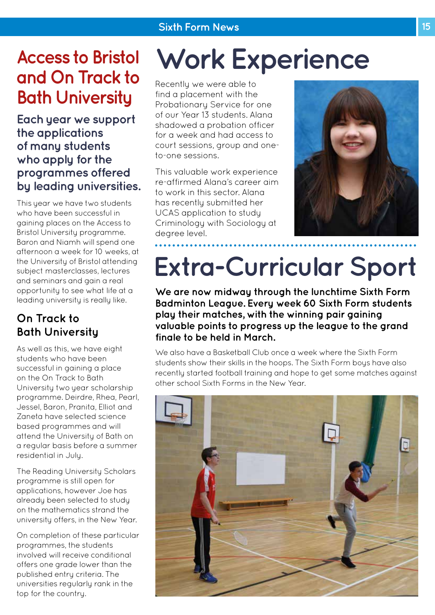### **Access to Bristol and On Track to Bath University**

**Each year we support the applications of many students who apply for the programmes offered by leading universities.** 

This year we have two students who have been successful in gaining places on the Access to Bristol University programme. Baron and Niamh will spend one afternoon a week for 10 weeks, at the University of Bristol attending subject masterclasses, lectures and seminars and gain a real opportunity to see what life at a leading university is really like.

### **On Track to Bath University**

As well as this, we have eight students who have been successful in gaining a place on the On Track to Bath University two year scholarship programme. Deirdre, Rhea, Pearl, Jessel, Baron, Pranita, Elliot and Zaneta have selected science based programmes and will attend the University of Bath on a regular basis before a summer residential in July.

The Reading University Scholars programme is still open for applications, however Joe has already been selected to study on the mathematics strand the university offers, in the New Year.

On completion of these particular programmes, the students involved will receive conditional offers one grade lower than the published entry criteria. The universities regularly rank in the top for the country.

# **Work Experience**

Recently we were able to find a placement with the Probationary Service for one of our Year 13 students. Alana shadowed a probation officer for a week and had access to court sessions, group and oneto-one sessions.

This valuable work experience re-affirmed Alana's career aim to work in this sector. Alana has recently submitted her UCAS application to study Criminology with Sociology at degree level.



# **Extra-Curricular Sport**

**We are now midway through the lunchtime Sixth Form Badminton League. Every week 60 Sixth Form students play their matches, with the winning pair gaining valuable points to progress up the league to the grand finale to be held in March.**

We also have a Basketball Club once a week where the Sixth Form students show their skills in the hoops. The Sixth Form boys have also recently started football training and hope to get some matches against other school Sixth Forms in the New Year.

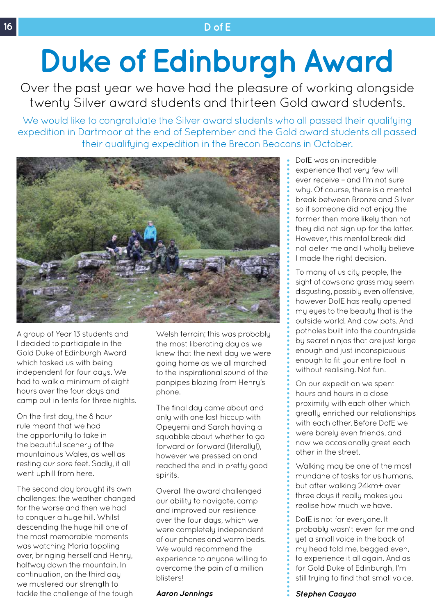#### **16 D of E**

# **Duke of Edinburgh Award**

Over the past year we have had the pleasure of working alongside twenty Silver award students and thirteen Gold award students.

We would like to congratulate the Silver award students who all passed their qualifying expedition in Dartmoor at the end of September and the Gold award students all passed their qualifying expedition in the Brecon Beacons in October.



A group of Year 13 students and I decided to participate in the Gold Duke of Edinburgh Award which tasked us with being independent for four days. We had to walk a minimum of eight hours over the four days and camp out in tents for three nights.

On the first day, the 8 hour rule meant that we had the opportunity to take in the beautiful scenery of the mountainous Wales, as well as resting our sore feet. Sadly, it all went uphill from here.

The second day brought its own challenges: the weather changed for the worse and then we had to conquer a huge hill. Whilst descending the huge hill one of the most memorable moments was watching Maria toppling over, bringing herself and Henry, halfway down the mountain. In continuation, on the third day we mustered our strength to tackle the challenge of the tough

Welsh terrain; this was probably the most liberating day as we knew that the next day we were going home as we all marched to the inspirational sound of the panpipes blazing from Henry's phone.

The final day came about and only with one last hiccup with Opeyemi and Sarah having a squabble about whether to ao forward or forward (literally!), however we pressed on and reached the end in pretty good spirits.

Overall the award challenged our ability to navigate, camp and improved our resilience over the four days, which we were completely independent of our phones and warm beds. We would recommend the experience to anyone willing to overcome the pain of a million blisters!

#### *Aaron Jennings*

DofE was an incredible experience that very few will ever receive – and I'm not sure whu. Of course, there is a mental break between Bronze and Silver so if someone did not enjoy the former then more likely than not they did not sign up for the latter. However, this mental break did not deter me and I wholly believe I made the right decision.

To many of us city people, the sight of cows and grass may seem disgusting, possibly even offensive, however DofE has really opened my eyes to the beauty that is the outside world. And cow pats. And potholes built into the countryside by secret ninjas that are just large enough and just inconspicuous enough to fit your entire foot in without realising. Not fun.

On our expedition we spent hours and hours in a close proximity with each other which greatly enriched our relationships with each other. Before DofE we were barely even friends, and now we occasionally greet each other in the street.

Walking may be one of the most mundane of tasks for us humans, but after walking 24km+ over three days it really makes you realise how much we have.

DofE is not for everyone. It probably wasn't even for me and yet a small voice in the back of my head told me, begged even, to experience it all again. And as for Gold Duke of Edinburgh, I'm still trying to find that small voice.

*Stephen Caayao*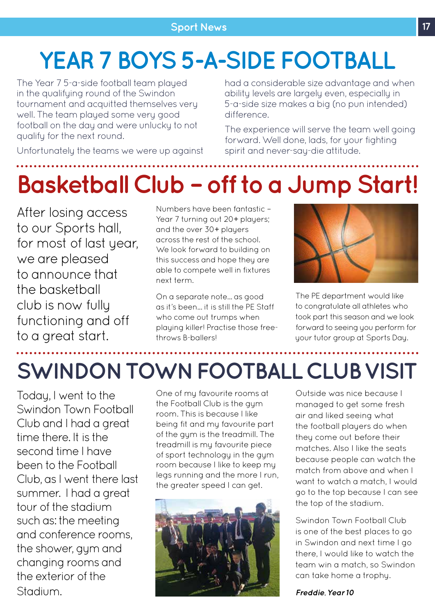# **YEAR 7 BOYS 5-A-SIDE FOOTBALL**

The Year 7 5-a-side football team played in the qualifying round of the Swindon tournament and acquitted themselves very well. The team played some very good football on the day and were unlucky to not qualify for the next round.

had a considerable size advantage and when ability levels are largely even, especially in 5-a-side size makes a big (no pun intended) difference.

The experience will serve the team well going forward. Well done, lads, for your fighting

spirit and never-say-die attitude.

Unfortunately the teams we were up against

# **Basketball Club – off to a Jump Start!**

After losing access to our Sports hall, for most of last year, we are pleased to announce that the basketball club is now fully functioning and off to a great start.

Numbers have been fantastic – Year 7 turning out 20+ players; and the over 30+ players across the rest of the school. We look forward to building on this success and hope they are able to compete well in fixtures next term.

On a separate note... as good as it's been... it is still the PE Staff who come out trumps when playing killer! Practise those freethrows B-ballers!



The PE department would like to congratulate all athletes who took part this season and we look forward to seeing you perform for your tutor group at Sports Day.

# **SWINDON TOWN FOOTBALL CLUB VISIT**

Today, I went to the Swindon Town Football Club and I had a great time there. It is the second time I have been to the Football Club, as I went there last summer. I had a great tour of the stadium such as: the meeting and conference rooms, the shower, gym and changing rooms and the exterior of the Stadium.

One of my favourite rooms at the Football Club is the gym room. This is because I like being fit and my favourite part of the gym is the treadmill. The treadmill is my favourite piece of sport technology in the gym room because I like to keep my legs running and the more I run, the greater speed I can get.



Outside was nice because I managed to get some fresh air and liked seeing what the football players do when they come out before their matches. Also I like the seats because people can watch the match from above and when I want to watch a match, I would go to the top because I can see the top of the stadium.

Swindon Town Football Club is one of the best places to go in Swindon and next time I go there, I would like to watch the team win a match, so Swindon can take home a trophy.

*Freddie, Year 10*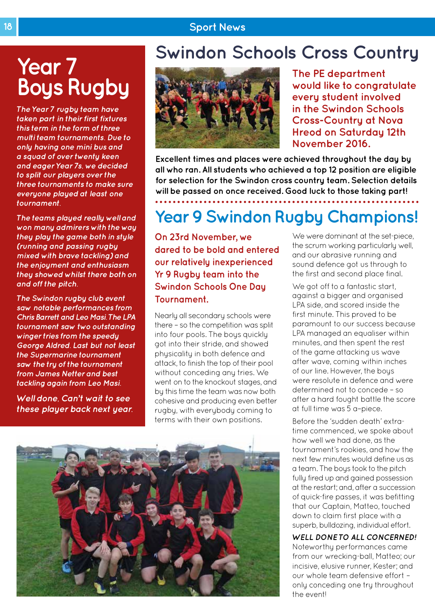#### **18 Sport News**

### **Year 7 Boys Rugby**

*The Year 7 rugby team have taken part in their first fixtures this term in the form of three multi team tournaments. Due to only having one mini bus and a squad of over twenty keen and eager Year 7s, we decided to split our players over the three tournaments to make sure everyone played at least one tournament.* 

*The teams played really well and won many admirers with the way they play the game both in style (running and passing rugby mixed with brave tackling) and the enjoyment and enthusiasm they showed whilst there both on and off the pitch.* 

*The Swindon rugby club event saw notable performances from Chris Barrett and Leo Masi. The LPA tournament saw two outstanding winger tries from the speedy George Aldred. Last but not least the Supermarine tournament saw the try of the tournament from James Netter and best tackling again from Leo Masi.* 

*Well done, Can't wait to see these player back next year.*

### **Swindon Schools Cross Country**



**The PE department would like to congratulate every student involved in the Swindon Schools Cross-Country at Nova Hreod on Saturday 12th November 2016.** 

We were dominant at the set-piece, the scrum working particularly well. and our abrasive running and sound defence got us through to the first and second place final.

**Excellent times and places were achieved throughout the day by all who ran. All students who achieved a top 12 position are eligible for selection for the Swindon cross country team. Selection details will be passed on once received. Good luck to those taking part!**

**Year 9 Swindon Rugby Champions!**

**On 23rd November, we dared to be bold and entered our relatively inexperienced Yr 9 Rugby team into the Swindon Schools One Day Tournament.** 

Nearly all secondary schools were there – so the competition was split into four pools. The boys quickly got into their stride, and showed physicality in both defence and attack, to finish the top of their pool without conceding any tries. We went on to the knockout stages, and by this time the team was now both cohesive and producing even better rugby, with everybody coming to terms with their own positions.



of our line. However, the boys were resolute in defence and were determined not to concede – so after a hard fought battle the score at full time was 5 a–piece.

Before the 'sudden death' extratime commenced, we spoke about how well we had done, as the tournament's rookies, and how the next few minutes would define us as a team. The boys took to the pitch fully fired up and gained possession at the restart; and, after a succession of quick-fire passes, it was befitting that our Captain, Matteo, touched down to claim first place with a superb, bulldozing, individual effort.

*WELL DONE TO ALL CONCERNED!*  Noteworthy performances came from our wrecking-ball, Matteo; our incisive, elusive runner, Kester; and our whole team defensive effort – only conceding one try throughout the event!

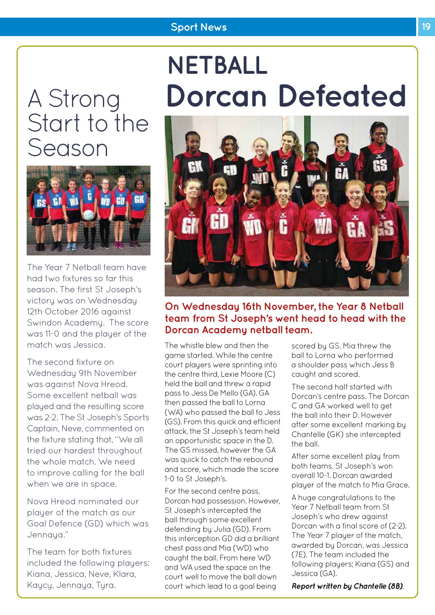#### **Sport News 19 19**

# A Strong Start to the Season



The Year 7 Netball team have had two fixtures so far this season. The first St Joseph's victory was on Wednesday 12th October 2016 against Swindon Academy. The score was 11-0 and the player of the match was Jessica.

The second fixture on Wednesday 9th November was against Nova Hreod. Some excellent netball was played and the resulting score was 2-2. The St Joseph's Sports Captain, Neve, commented on the fixture stating that, "We all tried our hardest throughout the whole match. We need to improve calling for the ball when we are in space.

Nova Hreod nominated our player of the match as our Goal Defence (GD) which was Jennaya."

The team for both fixtures included the following players: Kiana, Jessica, Neve, Klara, Kaycy, Jennaya, Tyra.

# **NETBALL Dorcan Defeated**



#### **On Wednesday 16th November, the Year 8 Netball team from St Joseph's went head to head with the Dorcan Academy netball team.**

The whistle blew and then the game started. While the centre court players were sprinting into the centre third, Lexie Moore (C) held the ball and threw a rapid pass to Jess De Mello (GA). GA then passed the ball to Lorna (WA) who passed the ball to Jess (GS). From this quick and efficient attack, the St Joseph's team held an opportunistic space in the D. The GS missed, however the GA was quick to catch the rebound and score, which made the score 1-0 to St Joseph's.

For the second centre pass, Dorcan had possession. However, St Joseph's intercepted the ball through some excellent defending by Julia (GD). From this interception GD did a brilliant chest pass and Mia (WD) who caught the ball. From here WD and WA used the space on the court well to move the ball down court which lead to a goal being

scored by GS. Mia threw the ball to Lorna who performed a shoulder pass which Jess B caught and scored.

The second half started with Dorcan's centre pass. The Dorcan C and GA worked well to get the ball into their D. However after some excellent marking by Chantelle (GK) she intercepted the ball.

After some excellent play from both teams, St Joseph's won overall 10-1. Dorcan awarded player of the match to Mia Grace.

A huge congratulations to the Year 7 Netball team from St Joseph's who drew against Dorcan with a final score of (2-2). The Year 7 player of the match, awarded by Dorcan, was Jessica (7E). The team included the following players; Kiana (GS) and Jessica (GA).

*Report written by Chantelle (8B).*